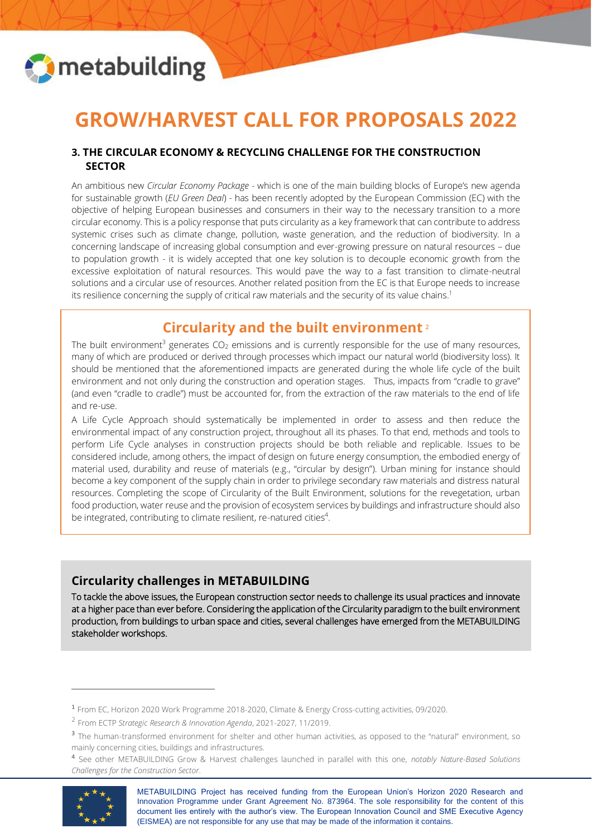

# **GROW/HARVEST CALL FOR PROPOSALS 2022**

#### **3. THE CIRCULAR ECONOMY & RECYCLING CHALLENGE FOR THE CONSTRUCTION SECTOR**

An ambitious new *Circular Economy Package* - which is one of the main building blocks of Europe's new agenda for sustainable growth (*EU Green Deal*) - has been recently adopted by the European Commission (EC) with the objective of helping European businesses and consumers in their way to the necessary transition to a more circular economy. This is a policy response that puts circularity as a key framework that can contribute to address systemic crises such as climate change, pollution, waste generation, and the reduction of biodiversity. In a concerning landscape of increasing global consumption and ever-growing pressure on natural resources – due to population growth - it is widely accepted that one key solution is to decouple economic growth from the excessive exploitation of natural resources. This would pave the way to a fast transition to climate-neutral solutions and a circular use of resources. Another related position from the EC is that Europe needs to increase its resilience concerning the supply of critical raw materials and the security of its value chains.<sup>1</sup>

# **Circularity and the built environment** 2

The built environment<sup>3</sup> generates  $CO<sub>2</sub>$  emissions and is currently responsible for the use of many resources, many of which are produced or derived through processes which impact our natural world (biodiversity loss). It should be mentioned that the aforementioned impacts are generated during the whole life cycle of the built environment and not only during the construction and operation stages. Thus, impacts from "cradle to grave" (and even "cradle to cradle") must be accounted for, from the extraction of the raw materials to the end of life and re-use.

A Life Cycle Approach should systematically be implemented in order to assess and then reduce the environmental impact of any construction project, throughout all its phases. To that end, methods and tools to perform Life Cycle analyses in construction projects should be both reliable and replicable. Issues to be considered include, among others, the impact of design on future energy consumption, the embodied energy of material used, durability and reuse of materials (e.g., "circular by design"). Urban mining for instance should become a key component of the supply chain in order to privilege secondary raw materials and distress natural resources. Completing the scope of Circularity of the Built Environment, solutions for the revegetation, urban food production, water reuse and the provision of ecosystem services by buildings and infrastructure should also be integrated, contributing to climate resilient, re-natured cities<sup>4</sup>.

# **Circularity challenges in METABUILDING**

To tackle the above issues, the European construction sector needs to challenge its usual practices and innovate at a higher pace than ever before. Considering the application of the Circularity paradigm to the built environment production, from buildings to urban space and cities, several challenges have emerged from the METABUILDING stakeholder workshops.

<sup>4</sup> See other METABUILDING Grow & Harvest challenges launched in parallel with this one, *notably Nature-Based Solutions Challenges for the Construction Sector*.



METABUILDING Project has received funding from the European Union's Horizon 2020 Research and Innovation Programme under Grant Agreement No. 873964. The sole responsibility for the content of this document lies entirely with the author's view. The European Innovation Council and SME Executive Agency (EISMEA) are not responsible for any use that may be made of the information it contains.

<sup>1</sup> From EC, Horizon 2020 Work Programme 2018-2020, Climate & Energy Cross-cutting activities, 09/2020.

<sup>2</sup> From ECTP *Strategic Research & Innovation Agenda*, 2021-2027, 11/2019.

<sup>&</sup>lt;sup>3</sup> The human-transformed environment for shelter and other human activities, as opposed to the "natural" environment, so mainly concerning cities, buildings and infrastructures.